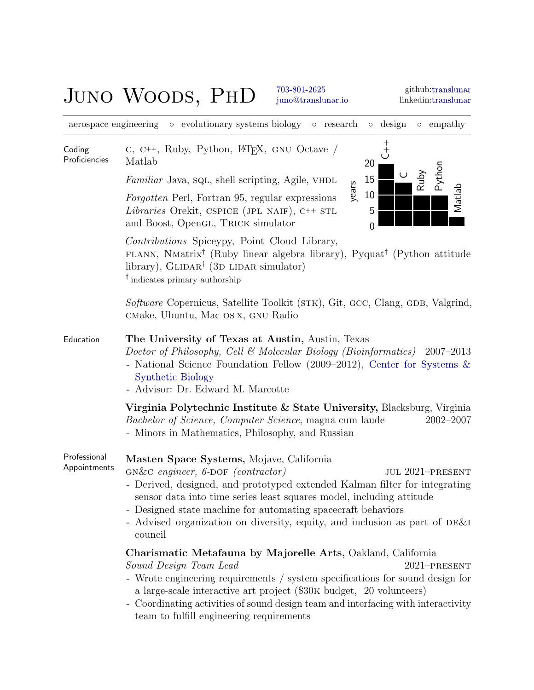# JUNO WOODS, PHD [703-801-2625](tel:703-801-2625)

[juno@translunar.io](mailto:juno@translunar.io)

aerospace engineering ◦ evolutionary systems biology ◦ research ◦ design ◦ empathy

| Coding<br>Proficiencies      | C, C++, Ruby, Python, L <sup>T</sup> FX, GNU Octave /<br>Matlab<br>20                                                                                                                                                                                                                                                                                                                                                      |  |  |
|------------------------------|----------------------------------------------------------------------------------------------------------------------------------------------------------------------------------------------------------------------------------------------------------------------------------------------------------------------------------------------------------------------------------------------------------------------------|--|--|
|                              | Python<br>Ruby<br>15<br><i>Familiar</i> Java, sq., shell scripting, Agile, VHDL                                                                                                                                                                                                                                                                                                                                            |  |  |
|                              | years<br>Matlab<br>10<br><i>Forgotten</i> Perl, Fortran 95, regular expressions<br>5<br>Libraries Orekit, CSPICE (JPL NAIF), C++ STL<br>and Boost, OpenGL, TRICK simulator<br>$\overline{0}$                                                                                                                                                                                                                               |  |  |
|                              | <i>Contributions</i> Spiceypy, Point Cloud Library,<br>FLANN, NMatrix <sup>†</sup> (Ruby linear algebra library), Pyquat <sup>†</sup> (Python attitude<br>library), $GLIDAR^{\dagger}$ (3D LIDAR simulator)<br>$\dagger$ indicates primary authorship                                                                                                                                                                      |  |  |
|                              | Software Copernicus, Satellite Toolkit (STK), Git, GCC, Clang, GDB, Valgrind,<br>CMake, Ubuntu, Mac OS X, GNU Radio                                                                                                                                                                                                                                                                                                        |  |  |
| Education                    | The University of Texas at Austin, Austin, Texas<br>Doctor of Philosophy, Cell & Molecular Biology (Bioinformatics) 2007-2013<br>- National Science Foundation Fellow (2009–2012), Center for Systems $\&$<br><b>Synthetic Biology</b><br>- Advisor: Dr. Edward M. Marcotte                                                                                                                                                |  |  |
|                              | Virginia Polytechnic Institute & State University, Blacksburg, Virginia<br><i>Bachelor of Science, Computer Science, magna cum laude</i><br>$2002 - 2007$<br>- Minors in Mathematics, Philosophy, and Russian                                                                                                                                                                                                              |  |  |
| Professional<br>Appointments | Masten Space Systems, Mojave, California<br>$GN&C$ engineer, $6$ -DOF (contractor)<br><b>JUL 2021-PRESENT</b><br>- Derived, designed, and prototyped extended Kalman filter for integrating<br>sensor data into time series least squares model, including attitude<br>- Designed state machine for automating spacecraft behaviors<br>Advised organization on diversity, equity, and inclusion as part of DE&I<br>council |  |  |
|                              | Charismatic Metafauna by Majorelle Arts, Oakland, California<br>Sound Design Team Lead<br>2021-PRESENT<br>- Wrote engineering requirements / system specifications for sound design for<br>a large-scale interactive art project (\$30K budget, 20 volunteers)<br>- Coordinating activities of sound design team and interfacing with interactivity<br>team to fulfill engineering requirements                            |  |  |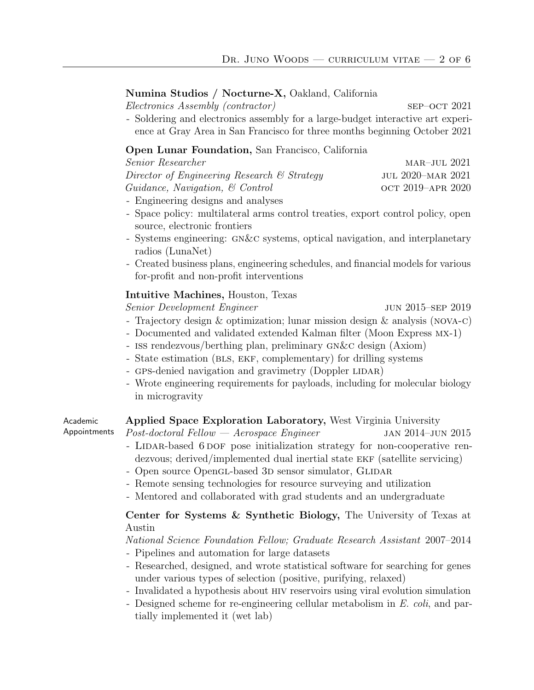## Numina Studios / Nocturne-X, Oakland, California

Electronics Assembly (contractor) sep–oct 2021

- Soldering and electronics assembly for a large-budget interactive art experience at Gray Area in San Francisco for three months beginning October 2021

## Open Lunar Foundation, San Francisco, California

| <i>Senior Researcher</i>                               | $MAR-JUL$ 2021    |
|--------------------------------------------------------|-------------------|
| Director of Engineering Research $\mathcal C$ Strategy | JUL 2020–MAR 2021 |
| $Guidance, \; Navigation, \; \& \; Control$            | OCT 2019-APR 2020 |
|                                                        |                   |

- Engineering designs and analyses
- Space policy: multilateral arms control treaties, export control policy, open source, electronic frontiers
- Systems engineering: gn&c systems, optical navigation, and interplanetary radios (LunaNet)
- Created business plans, engineering schedules, and financial models for various for-profit and non-profit interventions

### Intuitive Machines, Houston, Texas

Senior Development Engineer jun 2015–sep 2019

- Trajectory design & optimization; lunar mission design & analysis (nova-c)
- Documented and validated extended Kalman filter (Moon Express mx-1)
- iss rendezvous/berthing plan, preliminary gn&c design (Axiom)
- State estimation (bls, ekf, complementary) for drilling systems
- GPS-denied navigation and gravimetry (Doppler LIDAR)
- Wrote engineering requirements for payloads, including for molecular biology in microgravity

| Academic     | Applied Space Exploration Laboratory, West Virginia University                      |  |  |
|--------------|-------------------------------------------------------------------------------------|--|--|
| Appointments | $Post\text{-}doctoral\ Fellow \text{---} Aero space \ Enqiner$<br>JAN 2014-JUN 2015 |  |  |
|              | - LIDAR-based 6 DOF pose initialization strategy for non-cooperative ren-           |  |  |
|              | dezvous; derived/implemented dual inertial state EKF (satellite servicing)          |  |  |
|              | - Open source OpenGL-based 3D sensor simulator, GLIDAR                              |  |  |
|              | - Remote sensing technologies for resource surveying and utilization                |  |  |
|              | - Mentored and collaborated with grad students and an undergraduate                 |  |  |
|              | Center for Systems & Synthetic Biology, The University of Texas at<br>Austin        |  |  |

#### National Science Foundation Fellow; Graduate Research Assistant 2007–2014

- Pipelines and automation for large datasets
- Researched, designed, and wrote statistical software for searching for genes under various types of selection (positive, purifying, relaxed)
- Invalidated a hypothesis about hiv reservoirs using viral evolution simulation
- Designed scheme for re-engineering cellular metabolism in E. coli, and partially implemented it (wet lab)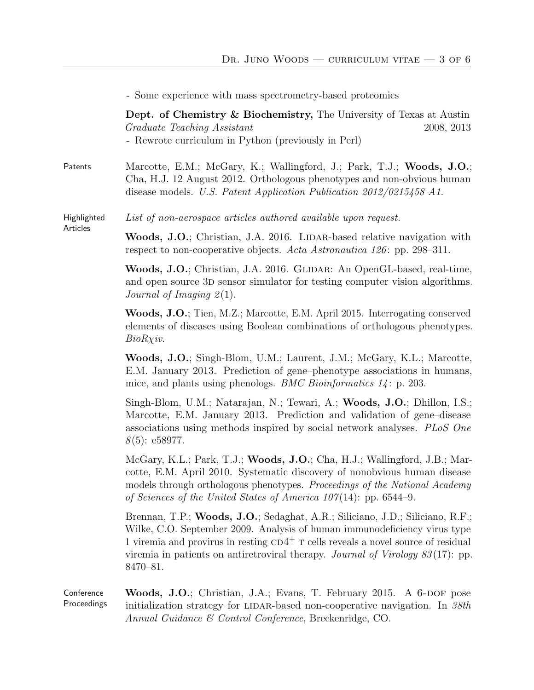|                           | - Some experience with mass spectrometry-based proteomics                                                                                                                                                                                                                                                                                           |
|---------------------------|-----------------------------------------------------------------------------------------------------------------------------------------------------------------------------------------------------------------------------------------------------------------------------------------------------------------------------------------------------|
|                           | Dept. of Chemistry & Biochemistry, The University of Texas at Austin<br>Graduate Teaching Assistant<br>2008, 2013<br>- Rewrote curriculum in Python (previously in Perl)                                                                                                                                                                            |
| Patents                   | Marcotte, E.M.; McGary, K.; Wallingford, J.; Park, T.J.; Woods, J.O.;<br>Cha, H.J. 12 August 2012. Orthologous phenotypes and non-obvious human<br>disease models. U.S. Patent Application Publication 2012/0215458 A1.                                                                                                                             |
| Highlighted<br>Articles   | List of non-aerospace articles authored available upon request.                                                                                                                                                                                                                                                                                     |
|                           | Woods, J.O.; Christian, J.A. 2016. LIDAR-based relative navigation with<br>respect to non-cooperative objects. Acta Astronautica 126: pp. 298-311.                                                                                                                                                                                                  |
|                           | Woods, J.O.; Christian, J.A. 2016. GLIDAR: An OpenGL-based, real-time,<br>and open source 3D sensor simulator for testing computer vision algorithms.<br>Journal of Imaging $2(1)$ .                                                                                                                                                                |
|                           | Woods, J.O.; Tien, M.Z.; Marcotte, E.M. April 2015. Interrogating conserved<br>elements of diseases using Boolean combinations of orthologous phenotypes.<br>$BioRX$ <i>iv.</i>                                                                                                                                                                     |
|                           | Woods, J.O.; Singh-Blom, U.M.; Laurent, J.M.; McGary, K.L.; Marcotte,<br>E.M. January 2013. Prediction of gene-phenotype associations in humans,<br>mice, and plants using phenologs. <i>BMC Bioinformatics</i> $14$ : p. 203.                                                                                                                      |
|                           | Singh-Blom, U.M.; Natarajan, N.; Tewari, A.; Woods, J.O.; Dhillon, I.S.;<br>Marcotte, E.M. January 2013. Prediction and validation of gene-disease<br>associations using methods inspired by social network analyses. PLoS One<br>$8(5)$ : e58977.                                                                                                  |
|                           | McGary, K.L.; Park, T.J.; Woods, J.O.; Cha, H.J.; Wallingford, J.B.; Mar-<br>cotte, E.M. April 2010. Systematic discovery of nonobvious human disease<br>models through orthologous phenotypes. Proceedings of the National Academy<br>of Sciences of the United States of America $107(14)$ : pp. 6544–9.                                          |
|                           | Brennan, T.P.; Woods, J.O.; Sedaghat, A.R.; Siliciano, J.D.; Siliciano, R.F.;<br>Wilke, C.O. September 2009. Analysis of human immunodeficiency virus type<br>1 viremia and provirus in resting $CD4^+$ T cells reveals a novel source of residual<br>viremia in patients on antiretroviral therapy. Journal of Virology $83(17)$ : pp.<br>8470-81. |
| Conference<br>Proceedings | Woods, J.O.; Christian, J.A.; Evans, T. February 2015. A 6-DOF pose<br>initialization strategy for LIDAR-based non-cooperative navigation. In 38th<br>Annual Guidance & Control Conference, Breckenridge, CO.                                                                                                                                       |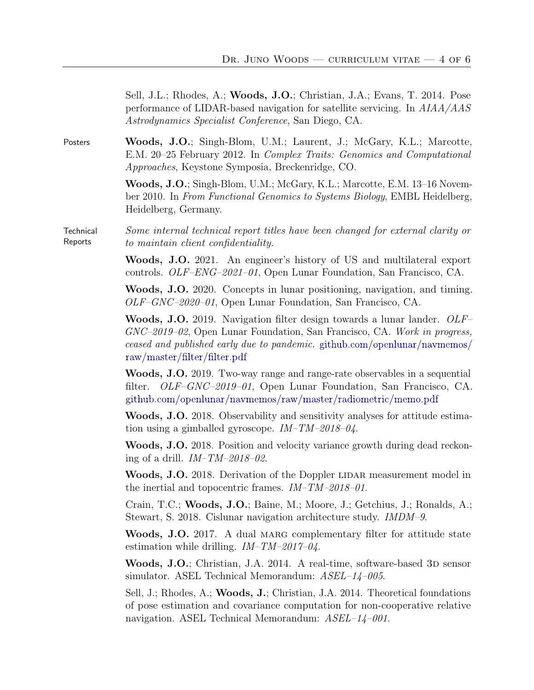| Sell, J.L.; Rhodes, A.; Woods, J.O.; Christian, J.A.; Evans, T. 2014. Pose  |
|-----------------------------------------------------------------------------|
| performance of LIDAR-based navigation for satellite servicing. In $AIAA/AS$ |
| <i>Astrodynamics Specialist Conference, San Diego, CA.</i>                  |

Posters Woods, J.O.; Singh-Blom, U.M.; Laurent, J.; McGary, K.L.; Marcotte, E.M. 20–25 February 2012. In Complex Traits: Genomics and Computational Approaches, Keystone Symposia, Breckenridge, CO.

> Woods, J.O.; Singh-Blom, U.M.; McGary, K.L.; Marcotte, E.M. 13–16 November 2010. In From Functional Genomics to Systems Biology, EMBL Heidelberg, Heidelberg, Germany.

**Technical** Reports Some internal technical report titles have been changed for external clarity or to maintain client confidentiality.

> Woods, J.O. 2021. An engineer's history of US and multilateral export controls. OLF–ENG–2021–01, Open Lunar Foundation, San Francisco, CA.

> Woods, J.O. 2020. Concepts in lunar positioning, navigation, and timing. OLF–GNC–2020–01, Open Lunar Foundation, San Francisco, CA.

> Woods, J.O. 2019. Navigation filter design towards a lunar lander. OLF-GNC–2019–02, Open Lunar Foundation, San Francisco, CA. Work in progress, ceased and published early due to pandemic. [github.com/openlunar/navmemos/](https://github.com/openlunar/navmemos/raw/master/filter/filter.pdf) [raw/master/filter/filter.pdf](https://github.com/openlunar/navmemos/raw/master/filter/filter.pdf)

> Woods, J.O. 2019. Two-way range and range-rate observables in a sequential filter. OLF-GNC-2019-01, Open Lunar Foundation, San Francisco, CA. [github.com/openlunar/navmemos/raw/master/radiometric/memo.pdf](https://github.com/openlunar/navmemos/raw/master/radiometric/memo.pdf)

> Woods, J.O. 2018. Observability and sensitivity analyses for attitude estimation using a gimballed gyroscope.  $IM-TM-2018-04$ .

> Woods, J.O. 2018. Position and velocity variance growth during dead reckoning of a drill.  $IM-TM-2018-02$ .

> Woods, J.O. 2018. Derivation of the Doppler LIDAR measurement model in the inertial and topocentric frames. IM–TM–2018–01.

> Crain, T.C.; Woods, J.O.; Baine, M.; Moore, J.; Getchius, J.; Ronalds, A.; Stewart, S. 2018. Cislunar navigation architecture study. IMDM–9.

> Woods, J.O. 2017. A dual MARG complementary filter for attitude state estimation while drilling.  $IM-TM-2017-04$ .

> Woods, J.O.; Christian, J.A. 2014. A real-time, software-based 3D sensor simulator. ASEL Technical Memorandum:  $ASEL-14-005$ .

> Sell, J.; Rhodes, A.; Woods, J.; Christian, J.A. 2014. Theoretical foundations of pose estimation and covariance computation for non-cooperative relative navigation. ASEL Technical Memorandum: ASEL–14–001.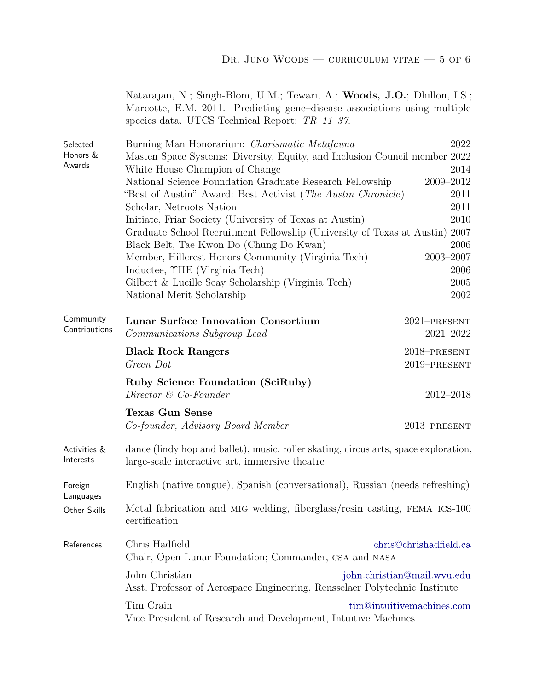|                                | Natarajan, N.; Singh-Blom, U.M.; Tewari, A.; Woods, J.O.; Dhillon, I.S.;<br>Marcotte, E.M. 2011. Predicting gene-disease associations using multiple<br>species data. UTCS Technical Report: $TR-11-37$ . |                               |  |
|--------------------------------|-----------------------------------------------------------------------------------------------------------------------------------------------------------------------------------------------------------|-------------------------------|--|
| Selected<br>Honors &<br>Awards | Burning Man Honorarium: Charismatic Metafauna<br>Masten Space Systems: Diversity, Equity, and Inclusion Council member 2022<br>White House Champion of Change                                             | 2022<br>2014                  |  |
|                                | National Science Foundation Graduate Research Fellowship<br>"Best of Austin" Award: Best Activist ( <i>The Austin Chronicle</i> )                                                                         | 2009-2012<br>2011             |  |
|                                | Scholar, Netroots Nation<br>Initiate, Friar Society (University of Texas at Austin)<br>Graduate School Recruitment Fellowship (University of Texas at Austin) 2007                                        | 2011<br>2010                  |  |
|                                | Black Belt, Tae Kwon Do (Chung Do Kwan)<br>Member, Hillcrest Honors Community (Virginia Tech)                                                                                                             | 2006<br>$2003 - 2007$         |  |
|                                | Inductee, $\Upsilon$ IIE (Virginia Tech)<br>Gilbert & Lucille Seay Scholarship (Virginia Tech)                                                                                                            | 2006<br>2005                  |  |
|                                | National Merit Scholarship                                                                                                                                                                                | 2002                          |  |
| Community<br>Contributions     | <b>Lunar Surface Innovation Consortium</b><br>Communications Subgroup Lead                                                                                                                                | 2021-PRESENT<br>$2021 - 2022$ |  |
|                                | <b>Black Rock Rangers</b><br>Green Dot                                                                                                                                                                    | 2018-PRESENT<br>2019-PRESENT  |  |
|                                | <b>Ruby Science Foundation (SciRuby)</b><br>Director & Co-Founder                                                                                                                                         | 2012-2018                     |  |
|                                | <b>Texas Gun Sense</b><br>Co-founder, Advisory Board Member                                                                                                                                               | 2013-PRESENT                  |  |
| Activities &<br>Interests      | dance (lindy hop and ballet), music, roller skating, circus arts, space exploration,<br>large-scale interactive art, immersive theatre                                                                    |                               |  |
| Foreign<br>Languages           | English (native tongue), Spanish (conversational), Russian (needs refreshing)                                                                                                                             |                               |  |
| Other Skills                   | Metal fabrication and MIG welding, fiberglass/resin casting, FEMA ICS-100<br>certification                                                                                                                |                               |  |
| References                     | Chris Hadfield<br>Chair, Open Lunar Foundation; Commander, CSA and NASA                                                                                                                                   | chris@chrishadfield.ca        |  |
|                                | John Christian<br>Asst. Professor of Aerospace Engineering, Rensselaer Polytechnic Institute                                                                                                              | john.christian@mail.wvu.edu   |  |
|                                | Tim Crain<br>tim@intuitivemachines.com<br>Vice President of Research and Development, Intuitive Machines                                                                                                  |                               |  |